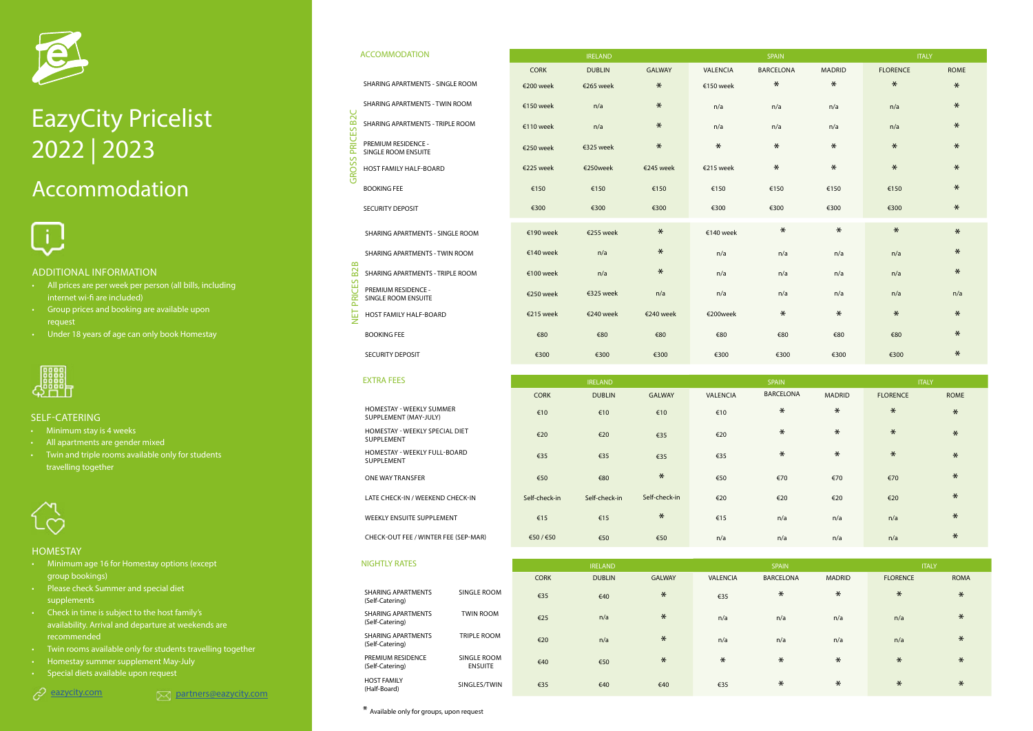| Available only for groups, upon request |  |  |
|-----------------------------------------|--|--|

### EXTRA FEES

### ACCOMMODATION



# Accommodation EazyCity Pricelist 2022 | 2023



## ADDITIONAL INFORMATION

- All prices are per week per person (all bills, including internet wi-fi are included)
- Group prices and booking are available upon request
- Under 18 years of age can only book Homestay



## SELF-CATERING

- Minimum stay is 4 weeks
- All apartments are gender mixed
- Twin and triple rooms available only for students travelling together



## HOMESTAY

GROSS PRICES B2C PRICI PREMIUM RESIDENCE -<br>SINGLE ROOM ENSUITE

Sö

B<sub>2</sub>C ΕŚ

U

Æ

**B2B** SHARING APARTMENTS - TRIPLE ROOM

PRICES

- Minimum age 16 for Homestay options (except group bookings)
- Please check Summer and special diet supplements
- Check in time is subject to the host family's availability. Arrival and departure at weekends are recommended
- Twin rooms available only for students travelling together
- Homestay summer supplement May-July
- Special diets available upon request

 $\varphi$  [eazycity.com](https://www.eazycity.com) [partners@eazycity.com](mailto:partners%40eazycity.com?subject=)

NET PRICES B2B 厚

### NIGHTLY RATES

| <b>ACCOMMODATION</b>                       | <b>IRELAND</b> |               |               | <b>SPAIN</b>    |                  |               | <b>ITALY</b>    |             |  |
|--------------------------------------------|----------------|---------------|---------------|-----------------|------------------|---------------|-----------------|-------------|--|
|                                            | <b>CORK</b>    | <b>DUBLIN</b> | <b>GALWAY</b> | <b>VALENCIA</b> | <b>BARCELONA</b> | <b>MADRID</b> | <b>FLORENCE</b> | <b>ROME</b> |  |
| SHARING APARTMENTS - SINGLE ROOM           | €200 week      | €265 week     | $\ast$        | €150 week       | $\ast$           | $\ast$        | $\ast$          | $\ast$      |  |
| SHARING APARTMENTS - TWIN ROOM             | €150 week      | n/a           | $\ast$        | n/a             | n/a              | n/a           | n/a             | $\ast$      |  |
| <b>SHARING APARTMENTS - TRIPLE ROOM</b>    | €110 week      | n/a           | $\ast$        | n/a             | n/a              | n/a           | n/a             | $\ast$      |  |
| PREMIUM RESIDENCE -<br>SINGLE ROOM ENSUITE | €250 week      | €325 week     | $\ast$        | $\ast$          | $\ast$           | $\ast$        | $\ast$          | $\ast$      |  |
| HOST FAMILY HALF-BOARD                     | €225 week      | €250week      | €245 week     | €215 week       | $\ast$           | $\ast$        | $\ast$          | $\ast$      |  |
| <b>BOOKING FEE</b>                         | €150           | €150          | €150          | €150            | €150             | €150          | €150            | $\ast$      |  |
| <b>SECURITY DEPOSIT</b>                    | €300           | €300          | €300          | €300            | €300             | €300          | €300            | $\ast$      |  |
| <b>SHARING APARTMENTS - SINGLE ROOM</b>    | €190 week      | €255 week     | $\ast$        | €140 week       | $\ast$           | $\ast$        | $\ast$          | $\ast$      |  |
| SHARING APARTMENTS - TWIN ROOM             | €140 week      | n/a           | $\ast$        | n/a             | n/a              | n/a           | n/a             | $\ast$      |  |
| SHARING APARTMENTS - TRIPLE ROOM           | €100 week      | n/a           | $\ast$        | n/a             | n/a              | n/a           | n/a             | $\ast$      |  |
| PREMIUM RESIDENCE -<br>SINGLE ROOM ENSUITE | €250 week      | €325 week     | n/a           | n/a             | n/a              | n/a           | n/a             | n/a         |  |
| HOST FAMILY HALF-BOARD                     | €215 week      | €240 week     | €240 week     | €200week        | $\ast$           | $\ast$        | $\ast$          | $\ast$      |  |
| <b>BOOKING FEE</b>                         | €80            | €80           | €80           | €80             | €80              | €80           | €80             | $\ast$      |  |
| <b>SECURITY DEPOSIT</b>                    | €300           | €300          | €300          | €300            | €300             | €300          | €300            | $\ast$      |  |

| <b>EXTRA FEES</b>                                 | <b>IRELAND</b> |               |               | <b>SPAIN</b>    |                  |               | <b>ITALY</b>    |             |
|---------------------------------------------------|----------------|---------------|---------------|-----------------|------------------|---------------|-----------------|-------------|
|                                                   | <b>CORK</b>    | <b>DUBLIN</b> | <b>GALWAY</b> | <b>VALENCIA</b> | <b>BARCELONA</b> | <b>MADRID</b> | <b>FLORENCE</b> | <b>ROME</b> |
| HOMESTAY - WEEKLY SUMMER<br>SUPPLEMENT (MAY-JULY) | €10            | €10           | €10           | €10             | $\ast$           | $\ast$        | $\ast$          | $*$         |
| HOMESTAY - WEEKLY SPECIAL DIET<br>SUPPLEMENT      | €20            | €20           | €35           | €20             | $\ast$           | $\ast$        | $\ast$          | $*$         |
| HOMESTAY - WEEKLY FULL-BOARD<br>SUPPLEMENT        | €35            | €35           | €35           | €35             | $\ast$           | $\ast$        | $\ast$          | $*$         |
| ONE WAY TRANSFER                                  | €50            | €80           | $\ast$        | €50             | €70              | €70           | €70             | $*$         |
| LATE CHECK-IN / WEEKEND CHECK-IN                  | Self-check-in  | Self-check-in | Self-check-in | €20             | €20              | €20           | €20             | $\ast$      |
| WEEKLY ENSUITE SUPPLEMENT                         | €15            | €15           | $\ast$        | €15             | n/a              | n/a           | n/a             | $\ast$      |
| CHECK-OUT FEE / WINTER FEE (SEP-MAR)              | €50/€50        | €50           | €50           | n/a             | n/a              | n/a           | n/a             | $\ast$      |

| <b>NIGHTLY RATES</b>                         |                               | <b>IRELAND</b> |               | <b>SPAIN</b>  |                 |                  | <b>ITALY</b>  |                 |             |
|----------------------------------------------|-------------------------------|----------------|---------------|---------------|-----------------|------------------|---------------|-----------------|-------------|
|                                              |                               | <b>CORK</b>    | <b>DUBLIN</b> | <b>GALWAY</b> | <b>VALENCIA</b> | <b>BARCELONA</b> | <b>MADRID</b> | <b>FLORENCE</b> | <b>ROMA</b> |
| <b>SHARING APARTMENTS</b><br>(Self-Catering) | SINGLE ROOM                   | €35            | €40           | $\ast$        | €35             | $\ast$           | $\ast$        | $\ast$          | $\ast$      |
| <b>SHARING APARTMENTS</b><br>(Self-Catering) | <b>TWIN ROOM</b>              | €25            | n/a           | $\ast$        | n/a             | n/a              | n/a           | n/a             | $\ast$      |
| <b>SHARING APARTMENTS</b><br>(Self-Catering) | <b>TRIPLE ROOM</b>            | €20            | n/a           | $\ast$        | n/a             | n/a              | n/a           | n/a             | $\ast$      |
| PREMIUM RESIDENCE<br>(Self-Catering)         | SINGLE ROOM<br><b>ENSUITE</b> | €40            | €50           | $\ast$        | $\ast$          | $\ast$           | $\ast$        | $\ast$          | $\ast$      |
| <b>HOST FAMILY</b><br>(Half-Board)           | SINGLES/TWIN                  | €35            | €40           | €40           | €35             | $*$              | $\ast$        | $\ast$          | $\ast$      |

| <b>SHARING APARTMENTS</b><br>(Self-Catering) | SINGLE ROOM                        |
|----------------------------------------------|------------------------------------|
| <b>SHARING APARTMENTS</b><br>(Self-Catering) | <b>TWIN ROOM</b>                   |
| <b>SHARING APARTMENTS</b><br>(Self-Catering) | TRIPI F ROOM                       |
| PREMIUM RESIDENCE<br>(Self-Catering)         | SINGLE ROOM<br><b>FNSUITE</b>      |
| <b>HOST FAMILY</b>                           | $C[1]$ $C[1]$ $C[1]$ $T[1]$ $T[1]$ |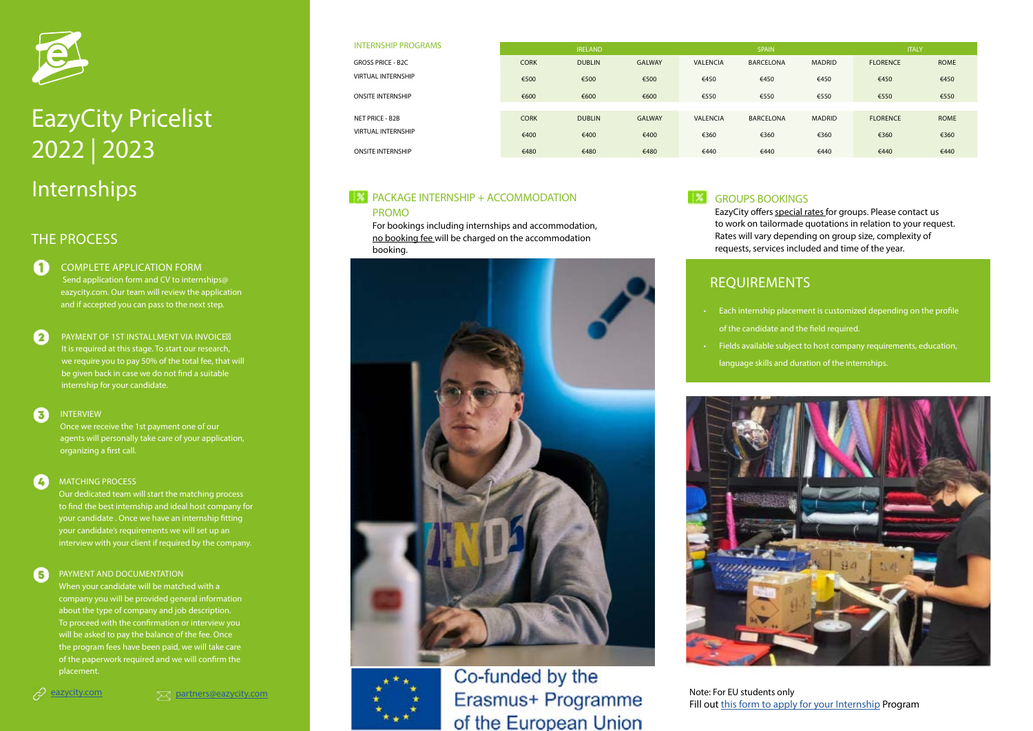# THE PROCESS

# REQUIREMENTS

- 
- 





# Internships EazyCity Pricelist 2022 | 2023

Œ COMPLETE APPLICATION FORM Send application form and CV to internships@ eazycity.com. Our team will review the application and if accepted you can pass to the next step.

Ø PAYMENT OF 1ST INSTALLMENT VIA INVOICE It is required at this stage. To start our research, we require you to pay 50% of the total fee, that will be given back in case we do not find a suitable internship for your candidate.

#### ß INTERVIEW

### MATCHING PROCESS Ø

#### A PAYMENT AND DOCUMENTATION

Once we receive the 1st payment one of our agents will personally take care of your application, organizing a first call.

Our dedicated team will start the matching process to find the best internship and ideal host company for your candidate . Once we have an internship fitting your candidate's requirements we will set up an interview with your client if required by the company.

# **EX PACKAGE INTERNSHIP + ACCOMMODATION** PROMO

### $\frac{1}{2}$ GROUPS BOOKINGS

When your candidate will be matched with a company you will be provided general information about the type of company and job description. To proceed with the confirmation or interview you will be asked to pay the balance of the fee. Once the program fees have been paid, we will take care of the paperwork required and we will confirm the placement.

 $\varphi$  [eazycity.com](https://www.eazycity.com)  $\boxtimes$  [partners@eazycity.com](mailto:partners%40eazycity.com?subject=)

• Each internship placement is customized depending on the profile

of the candidate and the field required.

• Fields available subject to host company requirements, education,

language skills and duration of the internships.

# Fill out [this form to apply for your Internship](https://www.eazycity.com/internship-application-form/) Program

| <b>INTERNSHIP PROGRAMS</b> | <b>IRELAND</b> |               |               | <b>SPAIN</b>    |                  |               | <b>ITALY</b>    |             |
|----------------------------|----------------|---------------|---------------|-----------------|------------------|---------------|-----------------|-------------|
| <b>GROSS PRICE - B2C</b>   | <b>CORK</b>    | <b>DUBLIN</b> | <b>GALWAY</b> | <b>VALENCIA</b> | <b>BARCELONA</b> | <b>MADRID</b> | <b>FLORENCE</b> | <b>ROME</b> |
| <b>VIRTUAL INTERNSHIP</b>  | €500           | €500          | €500          | €450            | €450             | €450          | €450            | €450        |
| <b>ONSITE INTERNSHIP</b>   | €600           | €600          | €600          | €550            | €550             | €550          | €550            | €550        |
| <b>NET PRICE - B2B</b>     | <b>CORK</b>    | <b>DUBLIN</b> | <b>GALWAY</b> | <b>VALENCIA</b> | <b>BARCELONA</b> | <b>MADRID</b> | <b>FLORENCE</b> | <b>ROME</b> |
| <b>VIRTUAL INTERNSHIP</b>  | €400           | €400          | €400          | €360            | €360             | €360          | €360            | €360        |
| <b>ONSITE INTERNSHIP</b>   | €480           | €480          | €480          | €440            | €440             | €440          | €440            | €440        |

For bookings including internships and accommodation, no booking fee will be charged on the accommodation booking.





Co-funded by the Erasmus+ Programme of the European Union

EazyCity offers special rates for groups. Please contact us to work on tailormade quotations in relation to your request. Rates will vary depending on group size, complexity of requests, services included and time of the year.

Note: For EU students only